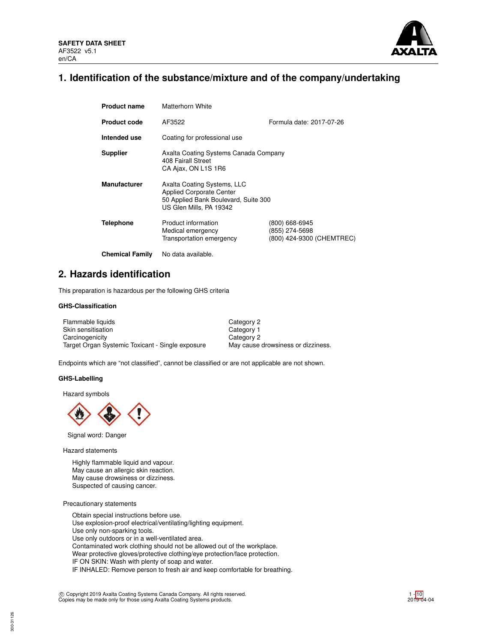

## **1. Identification of the substance/mixture and of the company/undertaking**

| <b>Product name</b>    | Matterhorn White                                                                                                                  |                                                               |  |  |  |  |
|------------------------|-----------------------------------------------------------------------------------------------------------------------------------|---------------------------------------------------------------|--|--|--|--|
| <b>Product code</b>    | AF3522                                                                                                                            | Formula date: 2017-07-26                                      |  |  |  |  |
| Intended use           | Coating for professional use                                                                                                      |                                                               |  |  |  |  |
| <b>Supplier</b>        | Axalta Coating Systems Canada Company<br>408 Fairall Street<br>CA Ajax, ON L1S 1R6                                                |                                                               |  |  |  |  |
| <b>Manufacturer</b>    | Axalta Coating Systems, LLC<br><b>Applied Corporate Center</b><br>50 Applied Bank Boulevard, Suite 300<br>US Glen Mills, PA 19342 |                                                               |  |  |  |  |
| <b>Telephone</b>       | Product information<br>Medical emergency<br>Transportation emergency                                                              | (800) 668-6945<br>(855) 274-5698<br>(800) 424-9300 (CHEMTREC) |  |  |  |  |
| <b>Chemical Family</b> | No data available.                                                                                                                |                                                               |  |  |  |  |

## **2. Hazards identification**

This preparation is hazardous per the following GHS criteria

## **GHS-Classification**

| Flammable liquids                                | Category 2                         |
|--------------------------------------------------|------------------------------------|
| Skin sensitisation                               | Category 1                         |
| Carcinogenicity                                  | Category 2                         |
| Target Organ Systemic Toxicant - Single exposure | May cause drowsiness or dizziness. |

Endpoints which are "not classified", cannot be classified or are not applicable are not shown.

#### **GHS-Labelling**

Hazard symbols



Signal word: Danger

Hazard statements

Highly flammable liquid and vapour. May cause an allergic skin reaction. May cause drowsiness or dizziness. Suspected of causing cancer.

## Precautionary statements

Obtain special instructions before use. Use explosion-proof electrical/ventilating/lighting equipment. Use only non-sparking tools. Use only outdoors or in a well-ventilated area. Contaminated work clothing should not be allowed out of the workplace. Wear protective gloves/protective clothing/eye protection/face protection. IF ON SKIN: Wash with plenty of soap and water. IF INHALED: Remove person to fresh air and keep comfortable for breathing.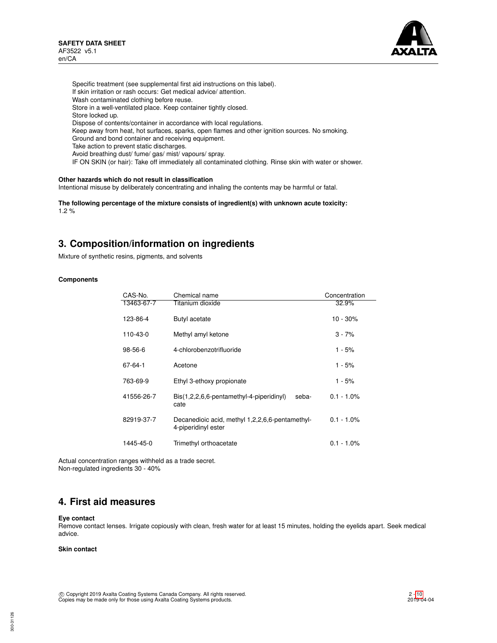

Specific treatment (see supplemental first aid instructions on this label). If skin irritation or rash occurs: Get medical advice/ attention. Wash contaminated clothing before reuse. Store in a well-ventilated place. Keep container tightly closed. Store locked up. Dispose of contents/container in accordance with local regulations. Keep away from heat, hot surfaces, sparks, open flames and other ignition sources. No smoking. Ground and bond container and receiving equipment. Take action to prevent static discharges. Avoid breathing dust/ fume/ gas/ mist/ vapours/ spray. IF ON SKIN (or hair): Take off immediately all contaminated clothing. Rinse skin with water or shower.

## **Other hazards which do not result in classification**

Intentional misuse by deliberately concentrating and inhaling the contents may be harmful or fatal.

**The following percentage of the mixture consists of ingredient(s) with unknown acute toxicity:** 1.2 %

## **3. Composition/information on ingredients**

Mixture of synthetic resins, pigments, and solvents

### **Components**

| CAS-No.       | Chemical name                                                             | Concentration |
|---------------|---------------------------------------------------------------------------|---------------|
| 13463-67-7    | Titanium dioxide                                                          | 32.9%         |
| 123-86-4      | Butyl acetate                                                             | $10 - 30%$    |
| 110-43-0      | Methyl amyl ketone                                                        | $3 - 7%$      |
| $98 - 56 - 6$ | 4-chlorobenzotrifluoride                                                  | 1 - 5%        |
| 67-64-1       | Acetone                                                                   | 1 - 5%        |
| 763-69-9      | Ethyl 3-ethoxy propionate                                                 | 1 - 5%        |
| 41556-26-7    | $\text{Bis}(1,2,2,6,6\text{-}pentamethyl-4-piperidinyl)$<br>seba-<br>cate | $0.1 - 1.0\%$ |
| 82919-37-7    | Decanedioic acid, methyl 1,2,2,6,6-pentamethyl-<br>4-piperidinyl ester    | $0.1 - 1.0\%$ |
| 1445-45-0     | Trimethyl orthoacetate                                                    | $0.1 - 1.0\%$ |

Actual concentration ranges withheld as a trade secret. Non-regulated ingredients 30 - 40%

## **4. First aid measures**

#### **Eye contact**

Remove contact lenses. Irrigate copiously with clean, fresh water for at least 15 minutes, holding the eyelids apart. Seek medical advice.

## **Skin contact**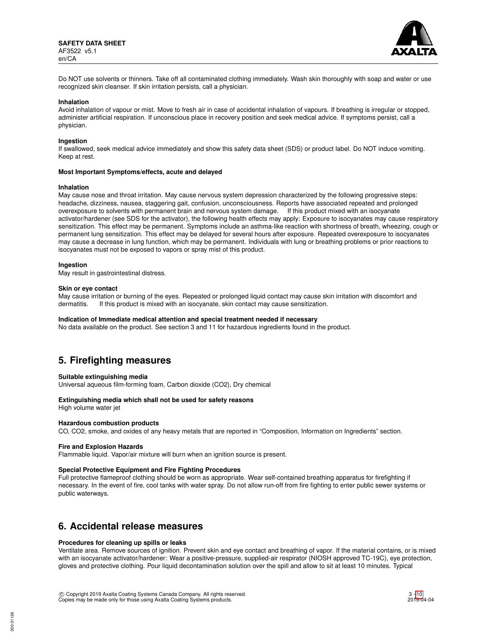

Do NOT use solvents or thinners. Take off all contaminated clothing immediately. Wash skin thoroughly with soap and water or use recognized skin cleanser. If skin irritation persists, call a physician.

#### **Inhalation**

Avoid inhalation of vapour or mist. Move to fresh air in case of accidental inhalation of vapours. If breathing is irregular or stopped, administer artificial respiration. If unconscious place in recovery position and seek medical advice. If symptoms persist, call a physician.

#### **Ingestion**

If swallowed, seek medical advice immediately and show this safety data sheet (SDS) or product label. Do NOT induce vomiting. Keep at rest.

#### **Most Important Symptoms/effects, acute and delayed**

#### **Inhalation**

May cause nose and throat irritation. May cause nervous system depression characterized by the following progressive steps: headache, dizziness, nausea, staggering gait, confusion, unconsciousness. Reports have associated repeated and prolonged overexposure to solvents with permanent brain and nervous system damage. If this product mixed with an isocyanate activator/hardener (see SDS for the activator), the following health effects may apply: Exposure to isocyanates may cause respiratory sensitization. This effect may be permanent. Symptoms include an asthma-like reaction with shortness of breath, wheezing, cough or permanent lung sensitization. This effect may be delayed for several hours after exposure. Repeated overexposure to isocyanates may cause a decrease in lung function, which may be permanent. Individuals with lung or breathing problems or prior reactions to isocyanates must not be exposed to vapors or spray mist of this product.

#### **Ingestion**

May result in gastrointestinal distress.

#### **Skin or eye contact**

May cause irritation or burning of the eyes. Repeated or prolonged liquid contact may cause skin irritation with discomfort and dermatitis. If this product is mixed with an isocyanate, skin contact may cause sensitization.

#### **Indication of Immediate medical attention and special treatment needed if necessary**

No data available on the product. See section 3 and 11 for hazardous ingredients found in the product.

## **5. Firefighting measures**

#### **Suitable extinguishing media**

Universal aqueous film-forming foam, Carbon dioxide (CO2), Dry chemical

## **Extinguishing media which shall not be used for safety reasons**

High volume water jet

## **Hazardous combustion products**

CO, CO2, smoke, and oxides of any heavy metals that are reported in "Composition, Information on Ingredients" section.

#### **Fire and Explosion Hazards**

Flammable liquid. Vapor/air mixture will burn when an ignition source is present.

#### **Special Protective Equipment and Fire Fighting Procedures**

Full protective flameproof clothing should be worn as appropriate. Wear self-contained breathing apparatus for firefighting if necessary. In the event of fire, cool tanks with water spray. Do not allow run-off from fire fighting to enter public sewer systems or public waterways.

## **6. Accidental release measures**

### **Procedures for cleaning up spills or leaks**

Ventilate area. Remove sources of ignition. Prevent skin and eye contact and breathing of vapor. If the material contains, or is mixed with an isocyanate activator/hardener: Wear a positive-pressure, supplied-air respirator (NIOSH approved TC-19C), eye protection, gloves and protective clothing. Pour liquid decontamination solution over the spill and allow to sit at least 10 minutes. Typical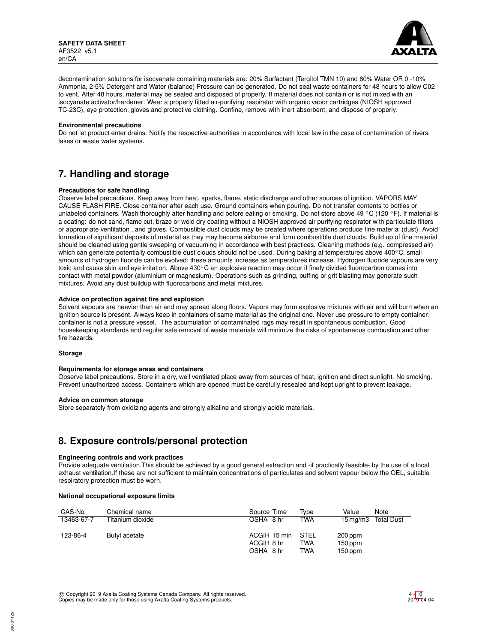

decontamination solutions for isocyanate containing materials are: 20% Surfactant (Tergitol TMN 10) and 80% Water OR 0 -10% Ammonia, 2-5% Detergent and Water (balance) Pressure can be generated. Do not seal waste containers for 48 hours to allow C02 to vent. After 48 hours, material may be sealed and disposed of properly. If material does not contain or is not mixed with an isocyanate activator/hardener: Wear a properly fitted air-purifying respirator with organic vapor cartridges (NIOSH approved TC-23C), eye protection, gloves and protective clothing. Confine, remove with inert absorbent, and dispose of properly.

### **Environmental precautions**

Do not let product enter drains. Notify the respective authorities in accordance with local law in the case of contamination of rivers, lakes or waste water systems.

# **7. Handling and storage**

## **Precautions for safe handling**

Observe label precautions. Keep away from heat, sparks, flame, static discharge and other sources of ignition. VAPORS MAY CAUSE FLASH FIRE. Close container after each use. Ground containers when pouring. Do not transfer contents to bottles or unlabeled containers. Wash thoroughly after handling and before eating or smoking. Do not store above 49 °C (120 °F). If material is a coating: do not sand, flame cut, braze or weld dry coating without a NIOSH approved air purifying respirator with particulate filters or appropriate ventilation , and gloves. Combustible dust clouds may be created where operations produce fine material (dust). Avoid formation of significant deposits of material as they may become airborne and form combustible dust clouds. Build up of fine material should be cleaned using gentle sweeping or vacuuming in accordance with best practices. Cleaning methods (e.g. compressed air) which can generate potentially combustible dust clouds should not be used. During baking at temperatures above 400℃, small amounts of hydrogen fluoride can be evolved; these amounts increase as temperatures increase. Hydrogen fluoride vapours are very toxic and cause skin and eye irritation. Above 430℃ an explosive reaction may occur if finely divided fluorocarbon comes into contact with metal powder (aluminium or magnesium). Operations such as grinding, buffing or grit blasting may generate such mixtures. Avoid any dust buildup with fluorocarbons and metal mixtures.

## **Advice on protection against fire and explosion**

Solvent vapours are heavier than air and may spread along floors. Vapors may form explosive mixtures with air and will burn when an ignition source is present. Always keep in containers of same material as the original one. Never use pressure to empty container: container is not a pressure vessel. The accumulation of contaminated rags may result in spontaneous combustion. Good housekeeping standards and regular safe removal of waste materials will minimize the risks of spontaneous combustion and other fire hazards.

#### **Storage**

#### **Requirements for storage areas and containers**

Observe label precautions. Store in a dry, well ventilated place away from sources of heat, ignition and direct sunlight. No smoking. Prevent unauthorized access. Containers which are opened must be carefully resealed and kept upright to prevent leakage.

#### **Advice on common storage**

Store separately from oxidizing agents and strongly alkaline and strongly acidic materials.

# **8. Exposure controls/personal protection**

#### **Engineering controls and work practices**

Provide adequate ventilation.This should be achieved by a good general extraction and -if practically feasible- by the use of a local exhaust ventilation.If these are not sufficient to maintain concentrations of particulates and solvent vapour below the OEL, suitable respiratory protection must be worn.

#### **National occupational exposure limits**

| CAS-No.    | Chemical name    | Source Time  | Tvpe       | Value     | Note                |
|------------|------------------|--------------|------------|-----------|---------------------|
| 13463-67-7 | Titanium dioxide | OSHA 8 hr    | <b>TWA</b> |           | 15 mg/m3 Total Dust |
| 123-86-4   | Butyl acetate    | ACGIH 15 min | STEL       | 200 ppm   |                     |
|            |                  | ACGIH 8 hr   | TWA        | $150$ ppm |                     |
|            |                  | OSHA 8 hr    | TWA        | $150$ ppm |                     |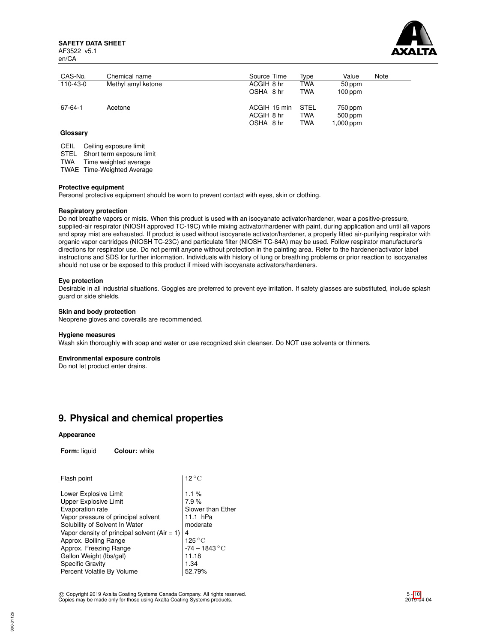**SAFETY DATA SHEET** AF3522 v5.1 en/CA



| CAS-No.  | Chemical name      | Source Time                             | Type                                    | Value                               | Note |
|----------|--------------------|-----------------------------------------|-----------------------------------------|-------------------------------------|------|
| 110-43-0 | Methyl amyl ketone | ACGIH 8 hr                              | <b>TWA</b>                              | 50 ppm                              |      |
|          |                    | OSHA 8 hr                               | <b>TWA</b>                              | $100$ ppm                           |      |
| 67-64-1  | Acetone            | ACGIH 15 min<br>ACGIH 8 hr<br>OSHA 8 hr | <b>STEL</b><br><b>TWA</b><br><b>TWA</b> | 750 ppm<br>$500$ ppm<br>$1,000$ ppm |      |

## **Glossary**

CEIL Ceiling exposure limit

STEL Short term exposure limit

TWA Time weighted average

TWAE Time-Weighted Average

#### **Protective equipment**

Personal protective equipment should be worn to prevent contact with eyes, skin or clothing.

### **Respiratory protection**

Do not breathe vapors or mists. When this product is used with an isocyanate activator/hardener, wear a positive-pressure, supplied-air respirator (NIOSH approved TC-19C) while mixing activator/hardener with paint, during application and until all vapors and spray mist are exhausted. If product is used without isocyanate activator/hardener, a properly fitted air-purifying respirator with organic vapor cartridges (NIOSH TC-23C) and particulate filter (NIOSH TC-84A) may be used. Follow respirator manufacturer's directions for respirator use. Do not permit anyone without protection in the painting area. Refer to the hardener/activator label instructions and SDS for further information. Individuals with history of lung or breathing problems or prior reaction to isocyanates should not use or be exposed to this product if mixed with isocyanate activators/hardeners.

#### **Eye protection**

Desirable in all industrial situations. Goggles are preferred to prevent eye irritation. If safety glasses are substituted, include splash guard or side shields.

## **Skin and body protection**

Neoprene gloves and coveralls are recommended.

#### **Hygiene measures**

Wash skin thoroughly with soap and water or use recognized skin cleanser. Do NOT use solvents or thinners.

#### **Environmental exposure controls**

Do not let product enter drains.

## **9. Physical and chemical properties**

#### **Appearance**

**Form:** liquid **Colour:** white

| Flash point                                                                                                                                                                                                                                                                                              | $12\,^{\circ}\mathrm{C}$                                                                                                        |
|----------------------------------------------------------------------------------------------------------------------------------------------------------------------------------------------------------------------------------------------------------------------------------------------------------|---------------------------------------------------------------------------------------------------------------------------------|
| Lower Explosive Limit<br>Upper Explosive Limit<br>Evaporation rate<br>Vapor pressure of principal solvent<br>Solubility of Solvent In Water<br>Vapor density of principal solvent ( $Air = 1$ )<br>Approx. Boiling Range<br>Approx. Freezing Range<br>Gallon Weight (lbs/gal)<br><b>Specific Gravity</b> | 1.1%<br>7.9%<br>Slower than Ether<br>11.1 hPa<br>moderate<br>4<br>$125\,^{\circ}\mathrm{C}$<br>$-74 - 1843$ °C<br>11.18<br>1.34 |
| Percent Volatile By Volume                                                                                                                                                                                                                                                                               |                                                                                                                                 |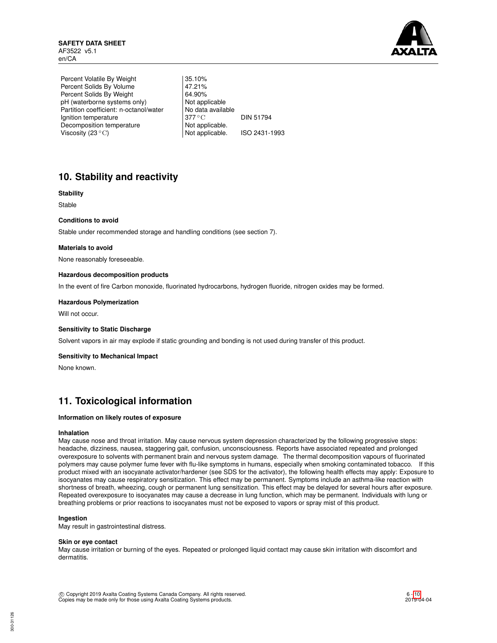

Percent Volatile By Weight | 35.10% Percent Solids By Volume 47.21%<br>Percent Solids By Weight 64.90% Percent Solids By Weight 64.90%<br>
pH (waterborne systems only) Not applicable pH (waterborne systems only) Partition coefficient: n-octanol/water | No data available Ignition temperature 377 °C DIN 51794 Decomposition temperature Not applicable.<br>Viscosity (23 °C) Not applicable. Viscosity  $(23 °C)$  Not applicable. ISO 2431-1993

# **10. Stability and reactivity**

## **Stability**

Stable

## **Conditions to avoid**

Stable under recommended storage and handling conditions (see section 7).

### **Materials to avoid**

None reasonably foreseeable.

### **Hazardous decomposition products**

In the event of fire Carbon monoxide, fluorinated hydrocarbons, hydrogen fluoride, nitrogen oxides may be formed.

### **Hazardous Polymerization**

Will not occur.

#### **Sensitivity to Static Discharge**

Solvent vapors in air may explode if static grounding and bonding is not used during transfer of this product.

#### **Sensitivity to Mechanical Impact**

None known.

# **11. Toxicological information**

#### **Information on likely routes of exposure**

### **Inhalation**

May cause nose and throat irritation. May cause nervous system depression characterized by the following progressive steps: headache, dizziness, nausea, staggering gait, confusion, unconsciousness. Reports have associated repeated and prolonged overexposure to solvents with permanent brain and nervous system damage. The thermal decomposition vapours of fluorinated polymers may cause polymer fume fever with flu-like symptoms in humans, especially when smoking contaminated tobacco. If this product mixed with an isocyanate activator/hardener (see SDS for the activator), the following health effects may apply: Exposure to isocyanates may cause respiratory sensitization. This effect may be permanent. Symptoms include an asthma-like reaction with shortness of breath, wheezing, cough or permanent lung sensitization. This effect may be delayed for several hours after exposure. Repeated overexposure to isocyanates may cause a decrease in lung function, which may be permanent. Individuals with lung or breathing problems or prior reactions to isocyanates must not be exposed to vapors or spray mist of this product.

## **Ingestion**

May result in gastrointestinal distress.

#### **Skin or eye contact**

May cause irritation or burning of the eyes. Repeated or prolonged liquid contact may cause skin irritation with discomfort and dermatitis.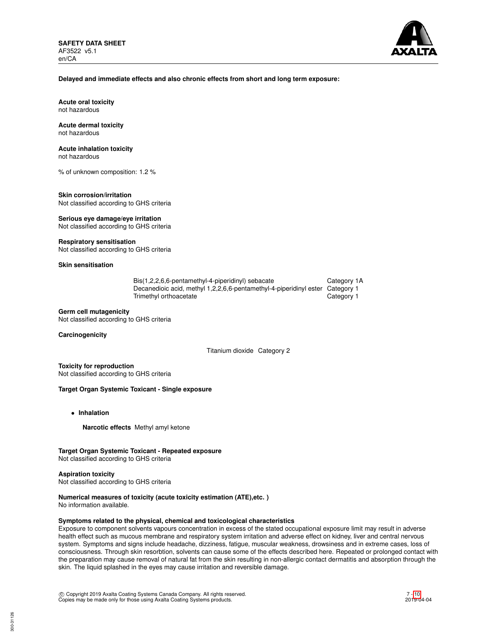

## **Delayed and immediate effects and also chronic effects from short and long term exposure:**

**Acute oral toxicity** not hazardous

#### **Acute dermal toxicity** not hazardous

## **Acute inhalation toxicity**

not hazardous

% of unknown composition: 1.2 %

## **Skin corrosion/irritation**

Not classified according to GHS criteria

## **Serious eye damage/eye irritation** Not classified according to GHS criteria

### **Respiratory sensitisation**

Not classified according to GHS criteria

## **Skin sensitisation**

| Bis(1,2,2,6,6-pentamethyl-4-piperidinyl) sebacate                             | Category 1A |
|-------------------------------------------------------------------------------|-------------|
| Decanedioic acid, methyl 1,2,2,6,6-pentamethyl-4-piperidinyl ester Category 1 |             |
| Trimethyl orthoacetate                                                        | Category 1  |

## **Germ cell mutagenicity**

Not classified according to GHS criteria

## **Carcinogenicity**

Titanium dioxide Category 2

**Toxicity for reproduction** Not classified according to GHS criteria

#### **Target Organ Systemic Toxicant - Single exposure**

- **Inhalation**
	- **Narcotic effects** Methyl amyl ketone

## **Target Organ Systemic Toxicant - Repeated exposure**

Not classified according to GHS criteria

#### **Aspiration toxicity**

Not classified according to GHS criteria

## **Numerical measures of toxicity (acute toxicity estimation (ATE),etc. )**

No information available.

## **Symptoms related to the physical, chemical and toxicological characteristics**

Exposure to component solvents vapours concentration in excess of the stated occupational exposure limit may result in adverse health effect such as mucous membrane and respiratory system irritation and adverse effect on kidney, liver and central nervous system. Symptoms and signs include headache, dizziness, fatigue, muscular weakness, drowsiness and in extreme cases, loss of consciousness. Through skin resorbtion, solvents can cause some of the effects described here. Repeated or prolonged contact with the preparation may cause removal of natural fat from the skin resulting in non-allergic contact dermatitis and absorption through the skin. The liquid splashed in the eyes may cause irritation and reversible damage.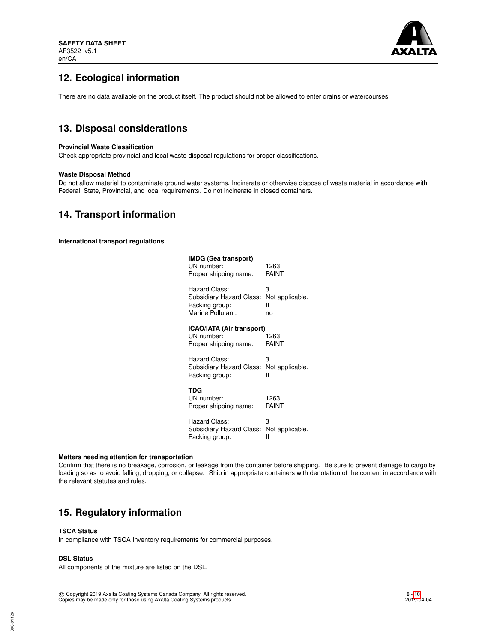

# **12. Ecological information**

There are no data available on the product itself. The product should not be allowed to enter drains or watercourses.

# **13. Disposal considerations**

## **Provincial Waste Classification**

Check appropriate provincial and local waste disposal regulations for proper classifications.

## **Waste Disposal Method**

Do not allow material to contaminate ground water systems. Incinerate or otherwise dispose of waste material in accordance with Federal, State, Provincial, and local requirements. Do not incinerate in closed containers.

## **14. Transport information**

**International transport regulations**

| IMDG (Sea transport)<br>UN number:<br>Proper shipping name:      | 1263<br>PAINT   |
|------------------------------------------------------------------|-----------------|
| Hazard Class:                                                    | 3               |
| Subsidiary Hazard Class:                                         | Not applicable. |
| Packing group:                                                   | н               |
| Marine Pollutant:                                                | no              |
| ICAO/IATA (Air transport)<br>UN number:<br>Proper shipping name: | 1263<br>PAINT   |
| Hazard Class:                                                    | 3               |
| Subsidiary Hazard Class:                                         | Not applicable. |
| Packing group:                                                   | н               |
| TDG<br>UN number:<br>Proper shipping name:                       | 1263<br>PAINT   |
| Hazard Class:                                                    | 3               |
| Subsidiary Hazard Class:                                         | Not applicable. |
| Packing group:                                                   | н               |

#### **Matters needing attention for transportation**

Confirm that there is no breakage, corrosion, or leakage from the container before shipping. Be sure to prevent damage to cargo by loading so as to avoid falling, dropping, or collapse. Ship in appropriate containers with denotation of the content in accordance with the relevant statutes and rules.

# **15. Regulatory information**

## **TSCA Status**

In compliance with TSCA Inventory requirements for commercial purposes.

## **DSL Status**

All components of the mixture are listed on the DSL.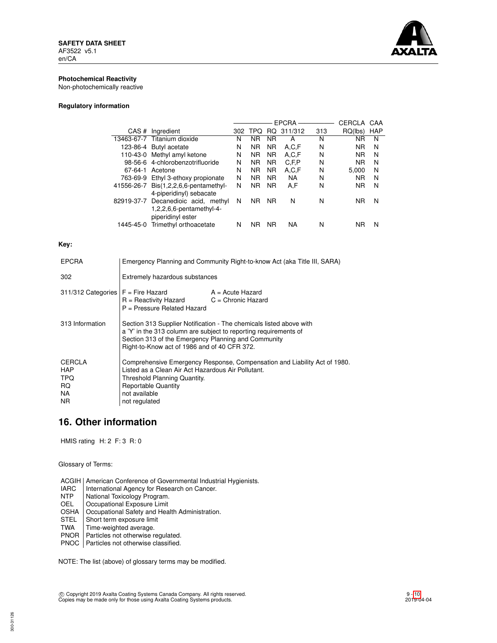

## **Photochemical Reactivity**

Non-photochemically reactive

## **Regulatory information**

|            |                                                                                         |     |                |           | <b>EPCRA</b> |     | CERCLA    | CAA        |
|------------|-----------------------------------------------------------------------------------------|-----|----------------|-----------|--------------|-----|-----------|------------|
| CAS#       | Ingredient                                                                              | 302 | TPQ            | RQ.       | 311/312      | 313 | RQ(lbs)   | <b>HAP</b> |
|            | 13463-67-7 Titanium dioxide                                                             | N   | ΝR             | <b>NR</b> | А            | N   | ΝR        | N          |
|            | 123-86-4 Butyl acetate                                                                  | N   | N <sub>R</sub> | <b>NR</b> | A,C,F        | N   | <b>NR</b> | N          |
| 110-43-0   | Methyl amyl ketone                                                                      | N   | <b>NR</b>      | <b>NR</b> | A,C,F        | N   | <b>NR</b> | N          |
|            | 98-56-6 4-chlorobenzotrifluoride                                                        | N   | <b>NR</b>      | <b>NR</b> | C, F, P      | N   | <b>NR</b> | N          |
| 67-64-1    | Acetone                                                                                 | N   | <b>NR</b>      | <b>NR</b> | A,C,F        | N   | 5.000     | N          |
| 763-69-9   | Ethyl 3-ethoxy propionate                                                               | N   | <b>NR</b>      | <b>NR</b> | <b>NA</b>    | N   | <b>NR</b> | N          |
| 41556-26-7 | $Dis(1,2,2,6,6\text{-pentamethyl-}$<br>4-piperidinyl) sebacate                          | N   | N <sub>R</sub> | <b>NR</b> | A,F          | N   | <b>NR</b> | N          |
|            | 82919-37-7 Decanedioic acid, methyl<br>$1,2,2,6,6$ -pentamethyl-4-<br>piperidinyl ester | N   | <b>NR</b>      | <b>NR</b> | N            | N   | ΝR        | N          |
| 1445-45-0  | Trimethyl orthoacetate                                                                  | N   | ΝR             | <b>NR</b> | NA           | N   | ΝR        | N          |

## **Key:**

| <b>EPCRA</b>                                            | Emergency Planning and Community Right-to-know Act (aka Title III, SARA)                                                                                                                                                                       |                                            |  |
|---------------------------------------------------------|------------------------------------------------------------------------------------------------------------------------------------------------------------------------------------------------------------------------------------------------|--------------------------------------------|--|
| 302                                                     | Extremely hazardous substances                                                                                                                                                                                                                 |                                            |  |
| $311/312$ Categories $F =$ Fire Hazard                  | R = Reactivity Hazard<br>$P =$ Pressure Related Hazard                                                                                                                                                                                         | $A = Acute$ Hazard<br>$C =$ Chronic Hazard |  |
| 313 Information                                         | Section 313 Supplier Notification - The chemicals listed above with<br>a 'Y' in the 313 column are subject to reporting requirements of<br>Section 313 of the Emergency Planning and Community<br>Right-to-Know act of 1986 and of 40 CFR 372. |                                            |  |
| CERCLA<br><b>HAP</b><br><b>TPQ</b><br>RQ.<br>NA.<br>NR. | Comprehensive Emergency Response, Compensation and Liability Act of 1980.<br>Listed as a Clean Air Act Hazardous Air Pollutant.<br>Threshold Planning Quantity.<br><b>Reportable Quantity</b><br>not available<br>not regulated                |                                            |  |

# **16. Other information**

HMIS rating H: 2 F: 3 R: 0

Glossary of Terms:

- ACGIH | American Conference of Governmental Industrial Hygienists.<br>
IARC | International Agency for Research on Cancer.
- IARC | International Agency for Research on Cancer.<br>
NTP | National Toxicology Program.
- NTP National Toxicology Program.<br>OEL Cocupational Exposure Limit
- Occupational Exposure Limit
- OSHA | Occupational Safety and Health Administration.<br>STEL | Short term exposure limit
- STEL Short term exposure limit<br>TWA Time-weighted average.
- Time-weighted average.
- PNOR Particles not otherwise regulated.
- PNOC Particles not otherwise classified.

NOTE: The list (above) of glossary terms may be modified.